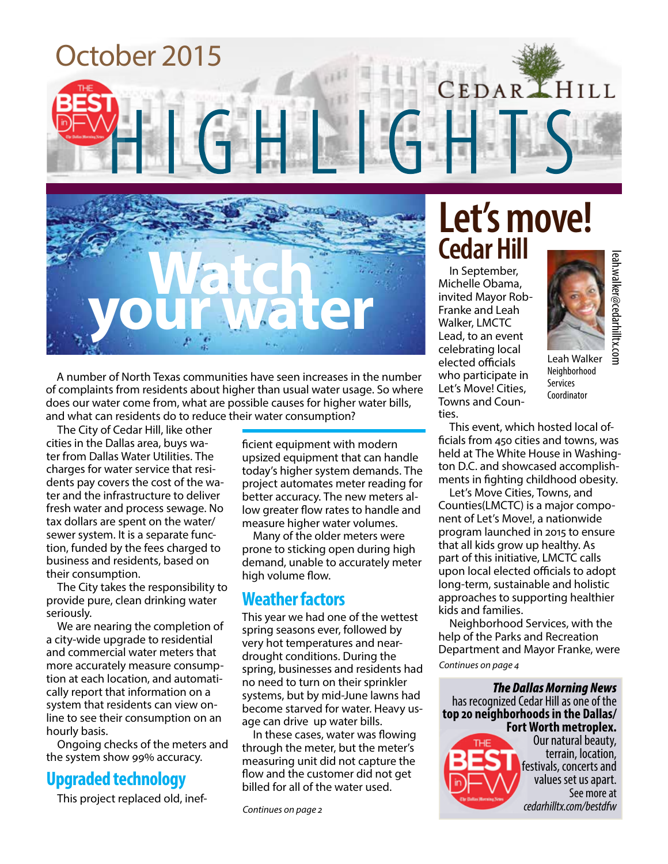



A number of North Texas communities have seen increases in the number of complaints from residents about higher than usual water usage. So where does our water come from, what are possible causes for higher water bills, and what can residents do to reduce their water consumption?

The City of Cedar Hill, like other cities in the Dallas area, buys water from Dallas Water Utilities. The charges for water service that residents pay covers the cost of the water and the infrastructure to deliver fresh water and process sewage. No tax dollars are spent on the water/ sewer system. It is a separate function, funded by the fees charged to business and residents, based on their consumption.

The City takes the responsibility to provide pure, clean drinking water seriously.

We are nearing the completion of a city-wide upgrade to residential and commercial water meters that more accurately measure consumption at each location, and automatically report that information on a system that residents can view online to see their consumption on an hourly basis.

Ongoing checks of the meters and the system show 99% accuracy.

### **Upgraded technology**

This project replaced old, inef-

ficient equipment with modern upsized equipment that can handle today's higher system demands. The project automates meter reading for better accuracy. The new meters allow greater flow rates to handle and measure higher water volumes.

Many of the older meters were prone to sticking open during high demand, unable to accurately meter high volume flow.

### **Weather factors**

This year we had one of the wettest spring seasons ever, followed by very hot temperatures and neardrought conditions. During the spring, businesses and residents had no need to turn on their sprinkler systems, but by mid-June lawns had become starved for water. Heavy usage can drive up water bills.

In these cases, water was flowing through the meter, but the meter's measuring unit did not capture the flow and the customer did not get billed for all of the water used.

### **Let's move! Cedar Hill**

In September, Michelle Obama, invited Mayor Rob-Franke and Leah Walker, LMCTC Lead, to an event celebrating local elected officials who participate in Let's Move! Cities, Towns and Counties.



leah.walker@cedarhilltx.com

Leah Walker Neighborhood Services Coordinator

This event, which hosted local officials from 450 cities and towns, was held at The White House in Washington D.C. and showcased accomplishments in fighting childhood obesity.

**cent of the Malker**<br> **ceah Walker**<br> **ceah Walker**<br> **ceah Walker**<br> **coordinator**<br> **coordinator**<br> **coordinator**<br> **coordinator**<br> **coordinator**<br> **coordinator**<br> **coordinator**<br> **coordinator**<br> **coordinator**<br> **coordinator**<br> **coor** Let's Move Cities, Towns, and Counties(LMCTC) is a major component of Let's Move!, a nationwide program launched in 2015 to ensure that all kids grow up healthy. As part of this initiative, LMCTC calls upon local elected officials to adopt long-term, sustainable and holistic approaches to supporting healthier kids and families.

Neighborhood Services, with the help of the Parks and Recreation Department and Mayor Franke, were

*Continues on page 4*

*The Dallas Morning News*  has recognized Cedar Hill as one of the **top 20 neighborhoods in the Dallas/ Fort Worth metroplex.** 



Our natural beauty, terrain, location, festivals, concerts and values set us apart. See more at cedarhilltx.com/bestdfw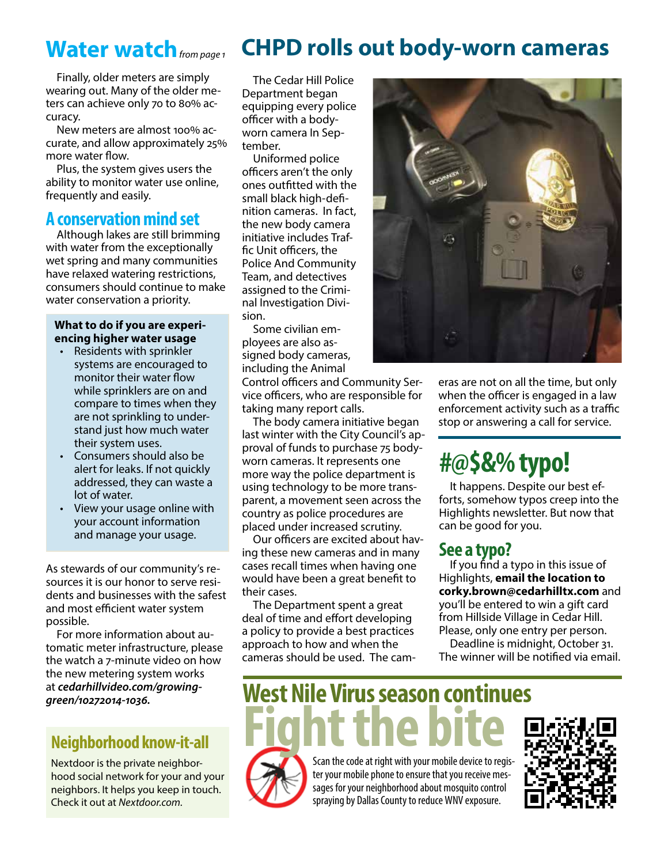### Water watch from page 1

Finally, older meters are simply wearing out. Many of the older meters can achieve only 70 to 80% accuracy.

New meters are almost 100% accurate, and allow approximately 25% more water flow.

Plus, the system gives users the ability to monitor water use online, frequently and easily.

### **A conservation mind set**

Although lakes are still brimming with water from the exceptionally wet spring and many communities have relaxed watering restrictions, consumers should continue to make water conservation a priority.

#### **What to do if you are experiencing higher water usage**

- Residents with sprinkler systems are encouraged to monitor their water flow while sprinklers are on and compare to times when they are not sprinkling to understand just how much water their system uses.
- Consumers should also be alert for leaks. If not quickly addressed, they can waste a lot of water.
- View your usage online with your account information and manage your usage.

As stewards of our community's resources it is our honor to serve residents and businesses with the safest and most efficient water system possible.

For more information about automatic meter infrastructure, please the watch a 7-minute video on how the new metering system works at *cedarhillvideo.com/growinggreen/10272014-1036.*

### **Neighborhood know-it-all**

Nextdoor is the private neighborhood social network for your and your neighbors. It helps you keep in touch. Check it out at *Nextdoor.com.*

### **CHPD rolls out body-worn cameras**

The Cedar Hill Police Department began equipping every police officer with a bodyworn camera In September.

Uniformed police officers aren't the only ones outfitted with the small black high-definition cameras. In fact, the new body camera initiative includes Traffic Unit officers, the Police And Community Team, and detectives assigned to the Criminal Investigation Division.

Some civilian employees are also assigned body cameras, including the Animal

Control officers and Community Service officers, who are responsible for taking many report calls.

The body camera initiative began last winter with the City Council's approval of funds to purchase 75 bodyworn cameras. It represents one more way the police department is using technology to be more transparent, a movement seen across the country as police procedures are placed under increased scrutiny.

Our officers are excited about having these new cameras and in many cases recall times when having one would have been a great benefit to their cases.

The Department spent a great deal of time and effort developing a policy to provide a best practices approach to how and when the cameras should be used. The cam-



eras are not on all the time, but only when the officer is engaged in a law enforcement activity such as a traffic stop or answering a call for service.

### **#@\$&% typo!**

It happens. Despite our best efforts, somehow typos creep into the Highlights newsletter. But now that can be good for you.

### **See a typo?**

If you find a typo in this issue of Highlights, **email the location to corky.brown@cedarhilltx.com** and you'll be entered to win a gift card from Hillside Village in Cedar Hill. Please, only one entry per person.

Deadline is midnight, October 31. The winner will be notified via email.

**West Nile Virus season continues Scan the code at right with your mobile device to regis-**



ter your mobile phone to ensure that you receive messages for your neighborhood about mosquito control spraying by Dallas County to reduce WNV exposure.

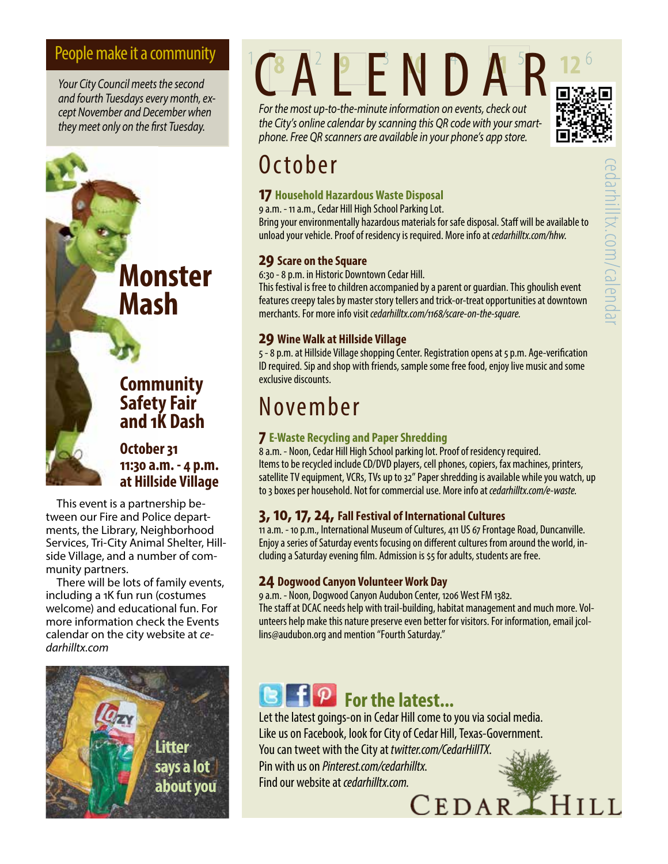*Your City Council meets the second and fourth Tuesdays every month, except November and December when they meet only on the first Tuesday.*

> **Monster Mash**

### **Community Safety Fair and 1K Dash**

**October 31 11:30 a.m. - 4 p.m. at Hillside Village**

This event is a partnership between our Fire and Police departments, the Library, Neighborhood Services, Tri-City Animal Shelter, Hillside Village, and a number of community partners.

There will be lots of family events, including a 1K fun run (costumes welcome) and educational fun. For more information check the Events calendar on the city website at *cedarhilltx.com*



# People make it a community CA<sup>2</sup> P E N D A<sup>5</sup>R

*For the most up-to-the-minute information on events, check out the City's online calendar by scanning this QR code with your smartphone. Free QR scanners are available in your phone's app store.*



### October

#### **17 Household Hazardous Waste Disposal**

9 a.m. - 11 a.m., Cedar Hill High School Parking Lot.

Bring your environmentally hazardous materials for safe disposal. Staff will be available to unload your vehicle. Proof of residency is required. More info at *cedarhilltx.com/hhw.*

#### **29 Scare on the Square**

6:30 - 8 p.m. in Historic Downtown Cedar Hill.

This festival is free to children accompanied by a parent or guardian. This ghoulish event features creepy tales by master story tellers and trick-or-treat opportunities at downtown merchants. For more info visit *cedarhilltx.com/1168/scare-on-the-square.*

#### **29 Wine Walk at Hillside Village**

5 - 8 p.m. at Hillside Village shopping Center. Registration opens at 5 p.m. Age-verification ID required. Sip and shop with friends, sample some free food, enjoy live music and some exclusive discounts.

### November

#### **7 E-Waste Recycling and Paper Shredding**

8 a.m. - Noon, Cedar Hill High School parking lot. Proof of residency required. Items to be recycled include CD/DVD players, cell phones, copiers, fax machines, printers, satellite TV equipment, VCRs, TVs up to 32" Paper shredding is available while you watch, up to 3 boxes per household. Not for commercial use. More info at *cedarhilltx.com/e-waste.*

#### **3, 10, 17, 24, Fall Festival of International Cultures**

11 a.m. - 10 p.m., International Museum of Cultures, 411 US 67 Frontage Road, Duncanville. Enjoy a series of Saturday events focusing on different cultures from around the world, including a Saturday evening film. Admission is \$5 for adults, students are free.

#### **24 Dogwood Canyon Volunteer Work Day**

9 a.m. - Noon, Dogwood Canyon Audubon Center, 1206 West FM 1382. The staff at DCAC needs help with trail-building, habitat management and much more. Volunteers help make this nature preserve even better for visitors. For information, email jcollins@audubon.org and mention "Fourth Saturday."

### **E For the latest...**

Let the latest goings-on in Cedar Hill come to you via social media. Like us on Facebook, look for City of Cedar Hill, Texas-Government. You can tweet with the City at *twitter.com/CedarHillTX*. Pin with us on *Pinterest.com/cedarhilltx*. Find our website at *cedarhilltx.com.*<br>  ${{\bf \small{CEDAR}}\,}$   ${\bf \small{HILL}}$